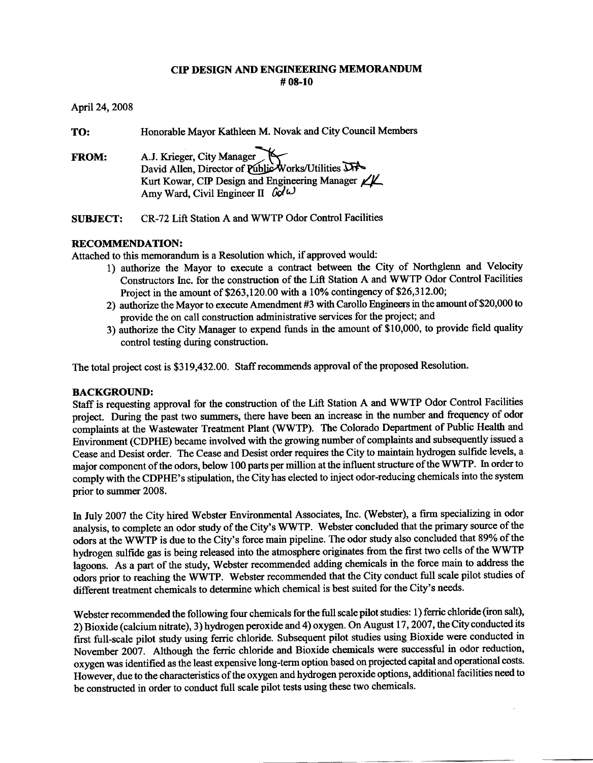#### **CIP DESIGN AND ENGINEERING MEMORANDUM**  $#08-10$

April 24, 2008

| TO:          | Honorable Mayor Kathleen M. Novak and City Council Members                                                                                                                                     |
|--------------|------------------------------------------------------------------------------------------------------------------------------------------------------------------------------------------------|
| <b>FROM:</b> | A.J. Krieger, City Manager<br>David Allen, Director of Public Works/Utilities<br>Kurt Kowar, CIP Design and Engineering Manager $\angle \angle$<br>Amy Ward, Civil Engineer II $\omega \omega$ |
|              |                                                                                                                                                                                                |

CR-72 Lift Station A and WWTP Odor Control Facilities **SUBJECT:** 

# **RECOMMENDATION:**

Attached to this memorandum is a Resolution which, if approved would:

- 1) authorize the Mayor to execute a contract between the City of Northglenn and Velocity Constructors Inc. for the construction of the Lift Station A and WWTP Odor Control Facilities Project in the amount of \$263,120.00 with a 10% contingency of \$26,312.00;
- 2) authorize the Mayor to execute Amendment #3 with Carollo Engineers in the amount of \$20,000 to provide the on call construction administrative services for the project; and
- 3) authorize the City Manager to expend funds in the amount of \$10,000, to provide field quality control testing during construction.

The total project cost is \$319,432.00. Staff recommends approval of the proposed Resolution.

## **BACKGROUND:**

Staff is requesting approval for the construction of the Lift Station A and WWTP Odor Control Facilities project. During the past two summers, there have been an increase in the number and frequency of odor complaints at the Wastewater Treatment Plant (WWTP). The Colorado Department of Public Health and Environment (CDPHE) became involved with the growing number of complaints and subsequently issued a Cease and Desist order. The Cease and Desist order requires the City to maintain hydrogen sulfide levels, a major component of the odors, below 100 parts per million at the influent structure of the WWTP. In order to comply with the CDPHE's stipulation, the City has elected to inject odor-reducing chemicals into the system prior to summer 2008.

In July 2007 the City hired Webster Environmental Associates, Inc. (Webster), a firm specializing in odor analysis, to complete an odor study of the City's WWTP. Webster concluded that the primary source of the odors at the WWTP is due to the City's force main pipeline. The odor study also concluded that 89% of the hydrogen sulfide gas is being released into the atmosphere originates from the first two cells of the WWTP lagoons. As a part of the study, Webster recommended adding chemicals in the force main to address the odors prior to reaching the WWTP. Webster recommended that the City conduct full scale pilot studies of different treatment chemicals to determine which chemical is best suited for the City's needs.

Webster recommended the following four chemicals for the full scale pilot studies: 1) ferric chloride (iron salt), 2) Bioxide (calcium nitrate), 3) hydrogen peroxide and 4) oxygen. On August 17, 2007, the City conducted its first full-scale pilot study using ferric chloride. Subsequent pilot studies using Bioxide were conducted in November 2007. Although the ferric chloride and Bioxide chemicals were successful in odor reduction, oxygen was identified as the least expensive long-term option based on projected capital and operational costs. However, due to the characteristics of the oxygen and hydrogen peroxide options, additional facilities need to be constructed in order to conduct full scale pilot tests using these two chemicals.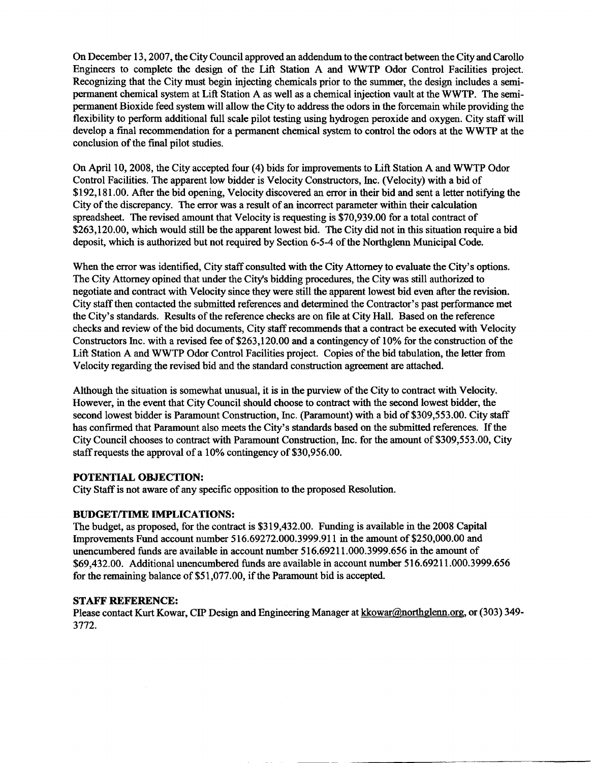On December 13, 2007, the City Council approved an addendum to the contract between the City and Carollo Engineers to complete the design of the Lift Station A and WWTP Odor Control Facilities project. Recognizing that the City must begin injecting chemicals prior to the summer, the design includes a semipermanent chemical system at Lift Station A as well as a chemical injection vault at the WWTP. The semipermanent Bioxide feed system will allow the City to address the odors in the forcemain while providing the flexibility to perform additional full scale pilot testing using hydrogen peroxide and oxygen. City staff will develop a final recommendation for a permanent chemical system to control the odors at the WWTP at the conclusion of the final pilot studies.

On April 10, 2008, the City accepted four (4) bids for improvements to Lift Station A and WWTP Odor Control Facilities. The apparent low bidder is Velocity Constructors, Inc. (Velocity) with a bid of \$192,181.00. After the bid opening, Velocity discovered an error in their bid and sent a letter notifying the City of the discrepancy. The error was a result of an incorrect parameter within their calculation spreadsheet. The revised amount that Velocity is requesting is \$70,939.00 for a total contract of \$263,120.00, which would still be the apparent lowest bid. The City did not in this situation require a bid deposit, which is authorized but not required by Section 6-5-4 of the Northglenn Municipal Code.

When the error was identified, City staff consulted with the City Attorney to evaluate the City's options. The City Attorney opined that under the City's bidding procedures, the City was still authorized to negotiate and contract with Velocity since they were still the apparent lowest bid even after the revision. City staff then contacted the submitted references and determined the Contractor's past performance met the City's standards. Results of the reference checks are on file at City Hall. Based on the reference checks and review of the bid documents, City staff recommends that a contract be executed with Velocity Constructors Inc. with a revised fee of \$263,120.00 and a contingency of 10% for the construction of the Lift Station A and WWTP Odor Control Facilities project. Copies of the bid tabulation, the letter from Velocity regarding the revised bid and the standard construction agreement are attached.

Although the situation is somewhat unusual, it is in the purview of the City to contract with Velocity. However, in the event that City Council should choose to contract with the second lowest bidder, the second lowest bidder is Paramount Construction, Inc. (Paramount) with a bid of \$309,553.00. City staff has confirmed that Paramount also meets the City's standards based on the submitted references. If the City Council chooses to contract with Paramount Construction, Inc. for the amount of \$309,553.00, City staff requests the approval of a 10% contingency of \$30,956.00.

## POTENTIAL OBJECTION:

City Staff is not aware of any specific opposition to the proposed Resolution.

## **BUDGET/TIME IMPLICATIONS:**

The budget, as proposed, for the contract is \$319,432.00. Funding is available in the 2008 Capital Improvements Fund account number 516.69272.000.3999.911 in the amount of \$250,000.00 and unencumbered funds are available in account number 516.69211.000.3999.656 in the amount of \$69,432.00. Additional unencumbered funds are available in account number 516.69211.000.3999.656 for the remaining balance of \$51,077.00, if the Paramount bid is accepted.

## **STAFF REFERENCE:**

Please contact Kurt Kowar, CIP Design and Engineering Manager at kkowar@northglenn.org, or (303) 349-3772.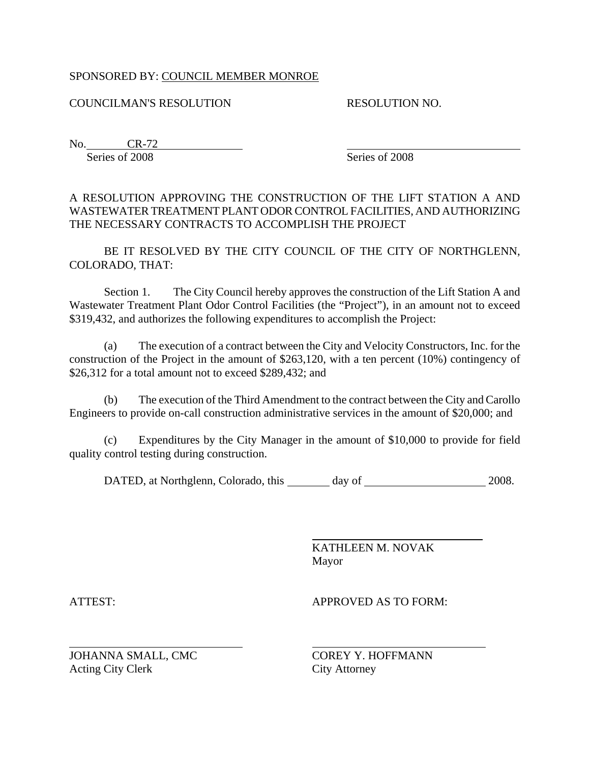# SPONSORED BY: COUNCIL MEMBER MONROE

# COUNCILMAN'S RESOLUTION

RESOLUTION NO.

No. CR-72 Series of 2008

Series of 2008

l

A RESOLUTION APPROVING THE CONSTRUCTION OF THE LIFT STATION A AND WASTEWATER TREATMENT PLANT ODOR CONTROL FACILITIES, AND AUTHORIZING THE NECESSARY CONTRACTS TO ACCOMPLISH THE PROJECT

BE IT RESOLVED BY THE CITY COUNCIL OF THE CITY OF NORTHGLENN, COLORADO, THAT:

 Section 1. The City Council hereby approves the construction of the Lift Station A and Wastewater Treatment Plant Odor Control Facilities (the "Project"), in an amount not to exceed \$319,432, and authorizes the following expenditures to accomplish the Project:

(a) The execution of a contract between the City and Velocity Constructors, Inc. for the construction of the Project in the amount of \$263,120, with a ten percent (10%) contingency of \$26,312 for a total amount not to exceed \$289,432; and

(b) The execution of the Third Amendment to the contract between the City and Carollo Engineers to provide on-call construction administrative services in the amount of \$20,000; and

(c) Expenditures by the City Manager in the amount of \$10,000 to provide for field quality control testing during construction.

DATED, at Northglenn, Colorado, this day of 2008.

 $\overline{a}$ 

 KATHLEEN M. NOVAK Mayor

 $\overline{a}$ 

ATTEST: APPROVED AS TO FORM:

JOHANNA SMALL, CMC COREY Y. HOFFMANN Acting City Clerk City Attorney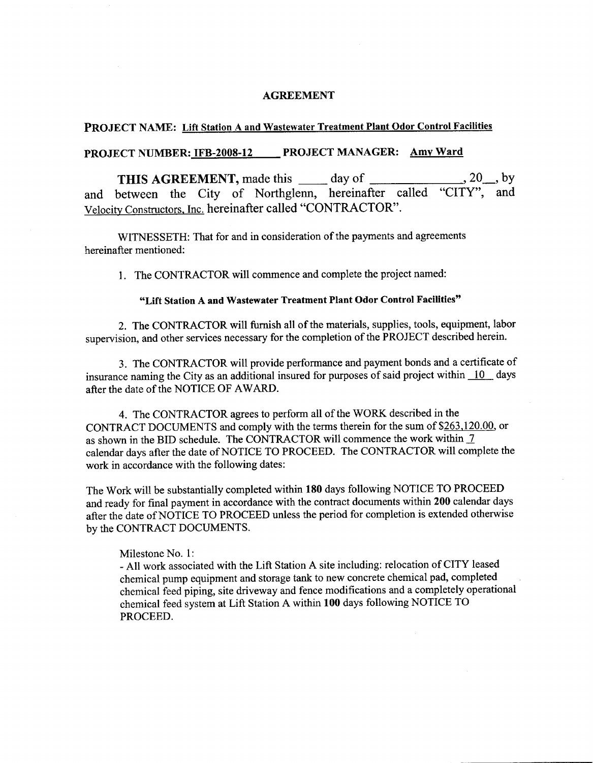#### **AGREEMENT**

# PROJECT NAME: Lift Station A and Wastewater Treatment Plant Odor Control Facilities

# PROJECT NUMBER: IFB-2008-12 PROJECT MANAGER: Amy Ward

 $, 20 \underline{\hspace{1cm}},$  by THIS AGREEMENT, made this \_\_\_\_\_ day of \_ and between the City of Northglenn, hereinafter called "CITY", and Velocity Constructors, Inc. hereinafter called "CONTRACTOR".

WITNESSETH: That for and in consideration of the payments and agreements hereinafter mentioned:

1. The CONTRACTOR will commence and complete the project named:

#### "Lift Station A and Wastewater Treatment Plant Odor Control Facilities"

2. The CONTRACTOR will furnish all of the materials, supplies, tools, equipment, labor supervision, and other services necessary for the completion of the PROJECT described herein.

3. The CONTRACTOR will provide performance and payment bonds and a certificate of insurance naming the City as an additional insured for purposes of said project within  $\overline{10}$  days after the date of the NOTICE OF AWARD.

4. The CONTRACTOR agrees to perform all of the WORK described in the CONTRACT DOCUMENTS and comply with the terms therein for the sum of \$263,120.00, or as shown in the BID schedule. The CONTRACTOR will commence the work within 7 calendar days after the date of NOTICE TO PROCEED. The CONTRACTOR will complete the work in accordance with the following dates:

The Work will be substantially completed within 180 days following NOTICE TO PROCEED and ready for final payment in accordance with the contract documents within 200 calendar days after the date of NOTICE TO PROCEED unless the period for completion is extended otherwise by the CONTRACT DOCUMENTS.

#### Milestone No. 1:

- All work associated with the Lift Station A site including: relocation of CITY leased chemical pump equipment and storage tank to new concrete chemical pad, completed chemical feed piping, site driveway and fence modifications and a completely operational chemical feed system at Lift Station A within 100 days following NOTICE TO PROCEED.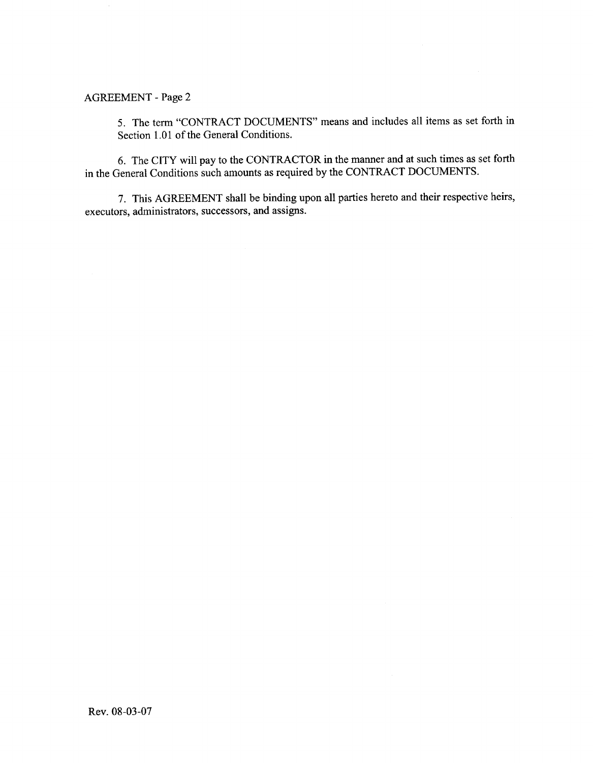5. The term "CONTRACT DOCUMENTS" means and includes all items as set forth in Section 1.01 of the General Conditions.

6. The CITY will pay to the CONTRACTOR in the manner and at such times as set forth in the General Conditions such amounts as required by the CONTRACT DOCUMENTS.

7. This AGREEMENT shall be binding upon all parties hereto and their respective heirs, executors, administrators, successors, and assigns.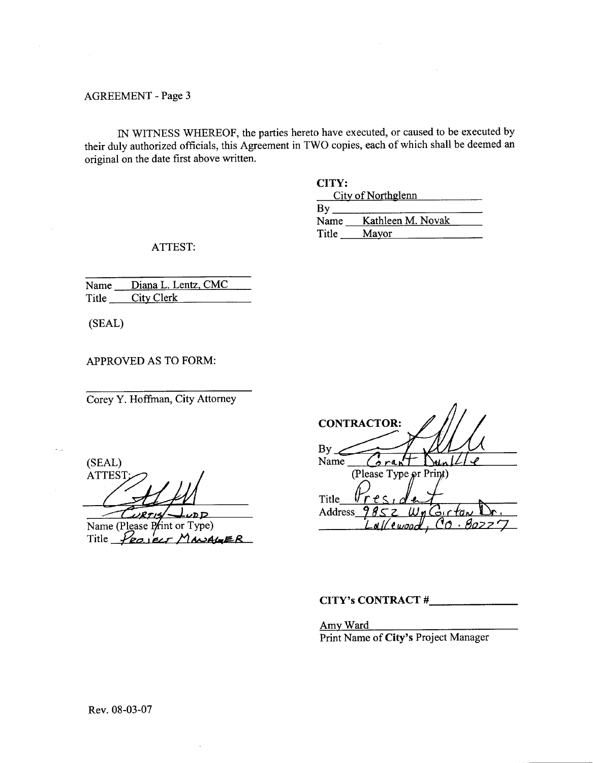IN WITNESS WHEREOF, the parties hereto have executed, or caused to be executed by their duly authorized officials, this Agreement in TWO copies, each of which shall be deemed an original on the date first above written.

| CITY: |                    |
|-------|--------------------|
|       | City of Northglenn |
| Bv    |                    |
| Name  | Kathleen M. Novak  |
| Title | Mayor              |

ATTEST:

| Name Diana L. Lentz, CMC |
|--------------------------|
| Title City Clerk         |

(SEAL)

APPROVED AS TO FORM:

Corey Y. Hoffman, City Attorney

(SEAL) **ATTEST** WRTIS- $L_{\nu\text{DD}}$ 

Name (Please Print or Type) Title PROJECT MANAGER

| <b>CONTRACTOR:</b>                             |
|------------------------------------------------|
| By<br>Name                                     |
| (Please Type or Print)                         |
| e <sub>c</sub><br>Title<br><b>Address</b><br>Ġ |
|                                                |

# CITY's CONTRACT #

Amy Ward Print Name of City's Project Manager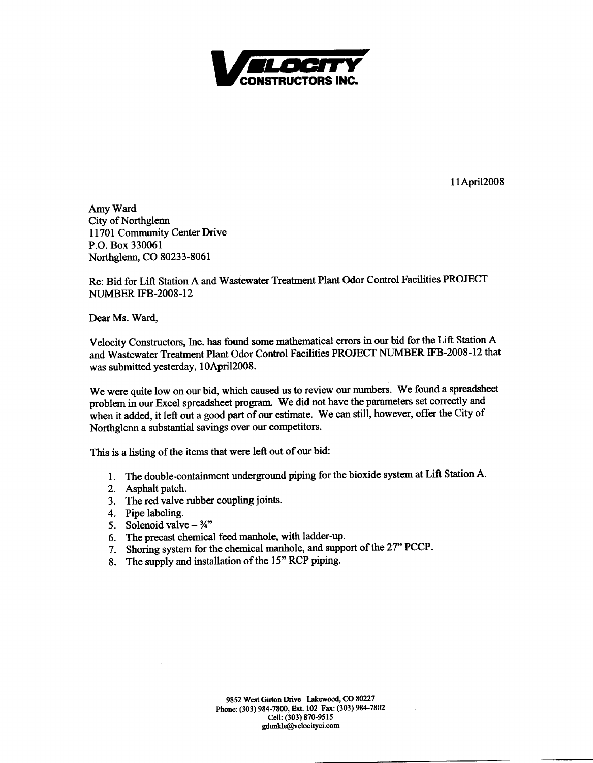

11 April 2008

Amy Ward City of Northglenn 11701 Community Center Drive P.O. Box 330061 Northglenn, CO 80233-8061

Re: Bid for Lift Station A and Wastewater Treatment Plant Odor Control Facilities PROJECT **NUMBER IFB-2008-12** 

Dear Ms. Ward,

Velocity Constructors, Inc. has found some mathematical errors in our bid for the Lift Station A and Wastewater Treatment Plant Odor Control Facilities PROJECT NUMBER IFB-2008-12 that was submitted yesterday, 10April2008.

We were quite low on our bid, which caused us to review our numbers. We found a spreadsheet problem in our Excel spreadsheet program. We did not have the parameters set correctly and when it added, it left out a good part of our estimate. We can still, however, offer the City of Northglenn a substantial savings over our competitors.

This is a listing of the items that were left out of our bid:

- 1. The double-containment underground piping for the bioxide system at Lift Station A.
- 2. Asphalt patch.
- 3. The red valve rubber coupling joints.
- 4. Pipe labeling.
- 5. Solenoid valve  $-34$ "
- 6. The precast chemical feed manhole, with ladder-up.
- 7. Shoring system for the chemical manhole, and support of the 27" PCCP.
- 8. The supply and installation of the 15" RCP piping.

9852 West Girton Drive Lakewood, CO 80227 Phone: (303) 984-7800, Ext. 102 Fax: (303) 984-7802 Cell: (303) 870-9515 gdunkle@velocityci.com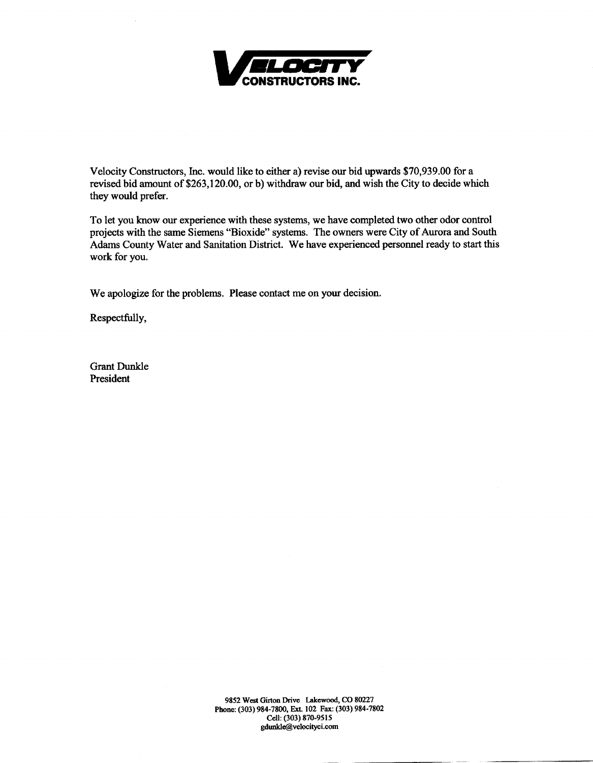

Velocity Constructors, Inc. would like to either a) revise our bid upwards \$70,939.00 for a revised bid amount of \$263,120.00, or b) withdraw our bid, and wish the City to decide which they would prefer.

To let you know our experience with these systems, we have completed two other odor control projects with the same Siemens "Bioxide" systems. The owners were City of Aurora and South Adams County Water and Sanitation District. We have experienced personnel ready to start this work for you.

We apologize for the problems. Please contact me on your decision.

Respectfully,

**Grant Dunkle** President

> 9852 West Girton Drive Lakewood, CO 80227 Phone: (303) 984-7800, Ext. 102 Fax: (303) 984-7802 Cell: (303) 870-9515 gdunkle@velocityci.com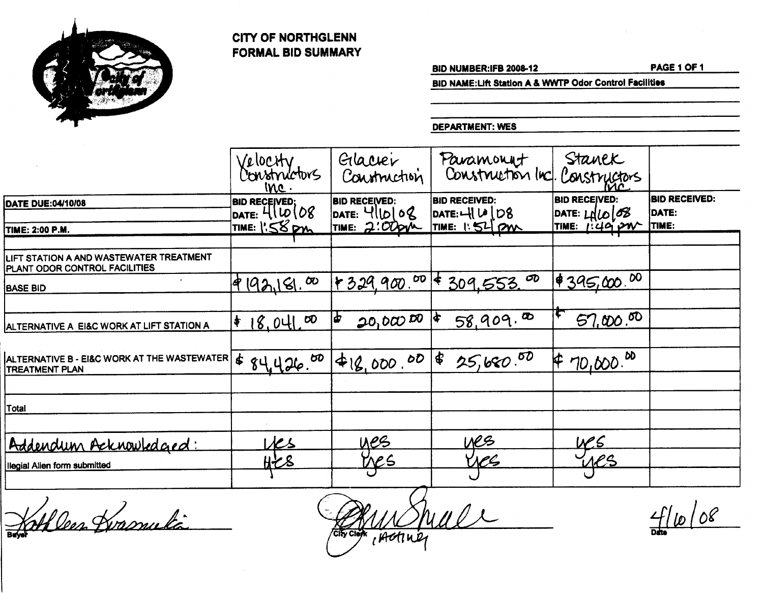

# **CITY OF NORTHGLENN FORMAL BID SUMMARY**

**BID NUMBER:IFB 2008-12** 

PAGE 1 OF 1

BID NAME: Lift Station A & WWTP Odor Control Facilities

**DEPARTMENT: WES** 

|                                                                          | Velocity<br>Constructors<br>$mc$ .   | Glacier<br>Construction                | Paramonyt<br>Construction (nc).         | Stanek<br>Constructors                                    |                               |
|--------------------------------------------------------------------------|--------------------------------------|----------------------------------------|-----------------------------------------|-----------------------------------------------------------|-------------------------------|
| <b>DATE DUE:04/10/08</b>                                                 | BID RECEIVED;<br>DATE: 4 \ \ LO \ O8 | <b>BID RECEIVED:</b><br>DATE: $4 D 08$ | <b>BID RECEIVED:</b><br>DATE: $-HU0108$ | <b>BID RECEIVED:</b><br>$\mathsf{PATE: L1LO} \mathcal{B}$ | <b>BID RECEIVED:</b><br>DATE: |
| <b>TIME: 2:00 P.M.</b>                                                   | TIME: 1:58 pm                        | TIME: 2:00pm                           | TIME: 1:54 PM                           | TIME: $1.49$ PW                                           | TIME:                         |
| LIFT STATION A AND WASTEWATER TREATMENT<br>PLANT ODOR CONTROL FACILITIES |                                      |                                        |                                         |                                                           |                               |
| <b>BASE BID</b>                                                          | 99,181,00                            |                                        | $+329.900.006$ \$ 309.553.00            | 4395,000.00                                               |                               |
| ALTERNATIVE A EI&C WORK AT LIFT STATION A                                | 18,041.00<br>♦                       | $20,000$ $50$                          | 58,909.00<br>$\blacktriangleright$      | 57,000,00                                                 |                               |
| ALTERNATIVE B - EI&C WORK AT THE WASTEWATER<br><b>TREATMENT PLAN</b>     | 84,426.00<br>$\dot{\bm{r}}$          | $48,000.00$ 8                          | 25,680.50                               | $70,000$ . <sup>00</sup><br>⊭                             |                               |
| Total                                                                    |                                      |                                        |                                         |                                                           |                               |
| Addendum Acknowledged:                                                   | VCS                                  | <u>ues</u>                             | <u>ves</u>                              |                                                           |                               |
| Ilegial Alien form submitted                                             | <u>Ht 8</u>                          | <u>Ves</u>                             | Veg                                     | <u>yes</u>                                                |                               |

Hathleen Kvasnulä

rade *IActiver* Clei

 $4110/08$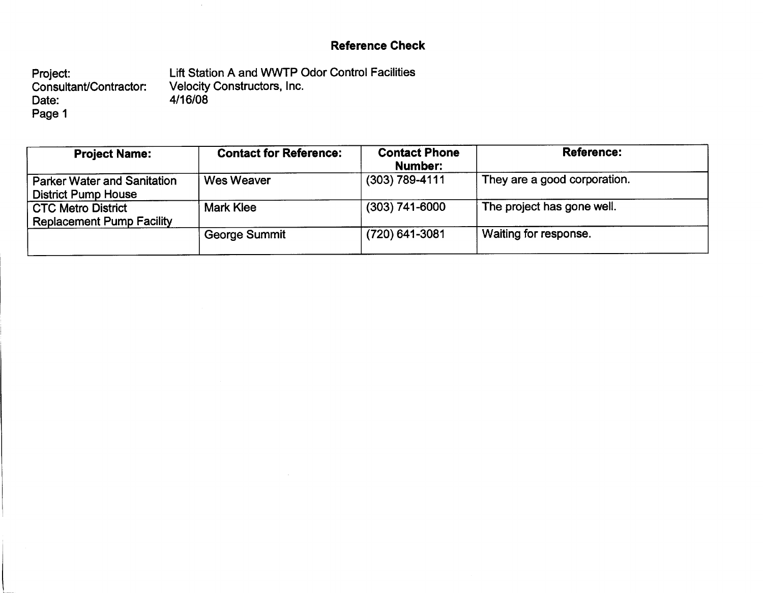# **Reference Check**

Lift Station A and WWTP Odor Control Facilities Project: Velocity Constructors, Inc.<br>4/16/08 Consultant/Contractor: Date: Page 1

 $\sim$ 

| <b>Project Name:</b>                                             | <b>Contact for Reference:</b> | <b>Contact Phone</b><br>Number: | <b>Reference:</b>            |
|------------------------------------------------------------------|-------------------------------|---------------------------------|------------------------------|
| <b>Parker Water and Sanitation</b><br><b>District Pump House</b> | Wes Weaver                    | $(303)$ 789-4111                | They are a good corporation. |
| <b>CTC Metro District</b><br><b>Replacement Pump Facility</b>    | Mark Klee                     | $(303)$ 741-6000                | The project has gone well.   |
|                                                                  | George Summit                 | (720) 641-3081                  | Waiting for response.        |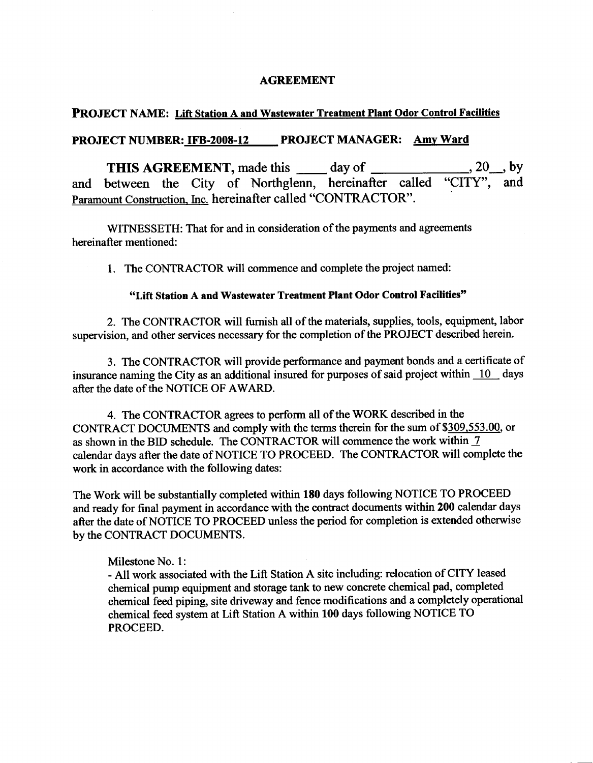## **AGREEMENT**

## **PROJECT NAME: Lift Station A and Wastewater Treatment Plant Odor Control Facilities**

# PROJECT NUMBER: IFB-2008-12 PROJECT MANAGER: Amy Ward

**THIS AGREEMENT, made this \_\_\_\_\_ day of \_\_\_\_\_\_\_\_\_\_\_\_\_\_\_\_\_\_\_\_, 20\_\_, by** and between the City of Northglenn, hereinafter called "CITY", and Paramount Construction, Inc. hereinafter called "CONTRACTOR".

WITNESSETH: That for and in consideration of the payments and agreements hereinafter mentioned:

1. The CONTRACTOR will commence and complete the project named:

# "Lift Station A and Wastewater Treatment Plant Odor Control Facilities"

2. The CONTRACTOR will furnish all of the materials, supplies, tools, equipment, labor supervision, and other services necessary for the completion of the PROJECT described herein.

3. The CONTRACTOR will provide performance and payment bonds and a certificate of insurance naming the City as an additional insured for purposes of said project within  $\overline{10}$  days after the date of the NOTICE OF AWARD.

4. The CONTRACTOR agrees to perform all of the WORK described in the CONTRACT DOCUMENTS and comply with the terms therein for the sum of \$309,553.00, or as shown in the BID schedule. The CONTRACTOR will commence the work within 7 calendar days after the date of NOTICE TO PROCEED. The CONTRACTOR will complete the work in accordance with the following dates:

The Work will be substantially completed within 180 days following NOTICE TO PROCEED and ready for final payment in accordance with the contract documents within 200 calendar days after the date of NOTICE TO PROCEED unless the period for completion is extended otherwise by the CONTRACT DOCUMENTS.

## Milestone No. 1:

- All work associated with the Lift Station A site including: relocation of CITY leased chemical pump equipment and storage tank to new concrete chemical pad, completed chemical feed piping, site driveway and fence modifications and a completely operational chemical feed system at Lift Station A within 100 days following NOTICE TO PROCEED.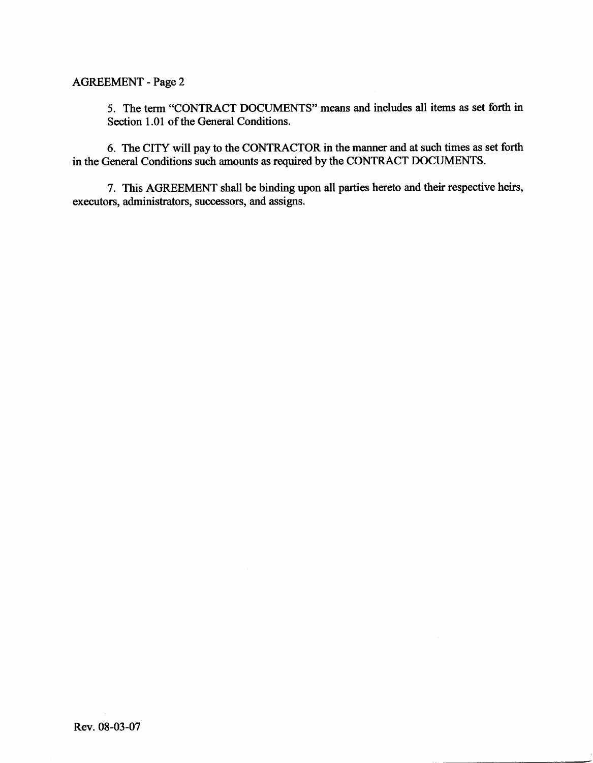5. The term "CONTRACT DOCUMENTS" means and includes all items as set forth in Section 1.01 of the General Conditions.

6. The CITY will pay to the CONTRACTOR in the manner and at such times as set forth in the General Conditions such amounts as required by the CONTRACT DOCUMENTS.

7. This AGREEMENT shall be binding upon all parties hereto and their respective heirs, executors, administrators, successors, and assigns.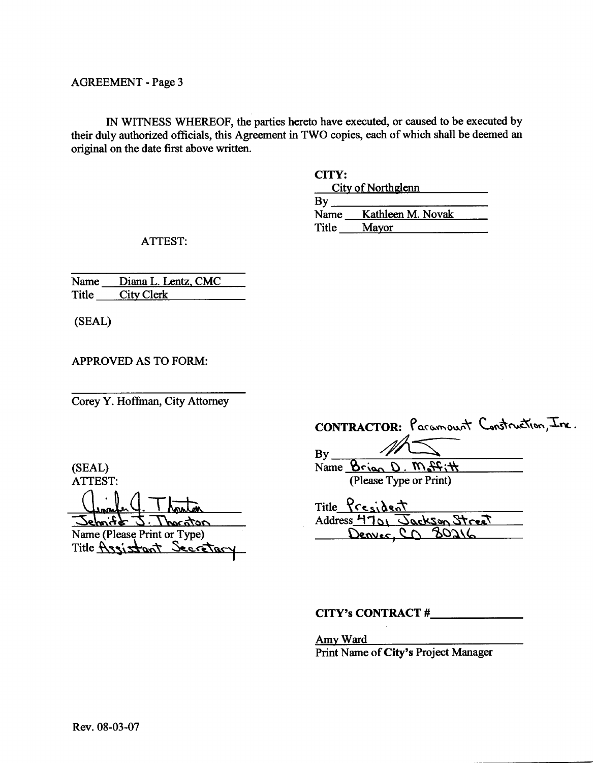IN WITNESS WHEREOF, the parties hereto have executed, or caused to be executed by their duly authorized officials, this Agreement in TWO copies, each of which shall be deemed an original on the date first above written.

**CITY:** 

|       | City of Northglenn |  |
|-------|--------------------|--|
| By    |                    |  |
| Name  | Kathleen M. Novak  |  |
| Title | Mayor              |  |
|       |                    |  |

**ATTEST:** 

Name Diana L. Lentz, CMC Title City Clerk

(SEAL)

**APPROVED AS TO FORM:** 

Corey Y. Hoffman, City Attorney

(SEAL) **ATTEST:** 

 $-7.5$  to the stand notanal l Name (Please Print or Type)

Secretar Title  $\overline{A}$ ssi $\overline{z}$ 

|          | CONTRACTOR: Paramount Construction, Inc. |
|----------|------------------------------------------|
| $M \leq$ |                                          |

 $By$ Name Brian D. M. Hitt (Please Type or Print)

Title President Address 4701 Jackson Street Denver, CD 80216

CITY's CONTRACT #

Amy Ward Print Name of City's Project Manager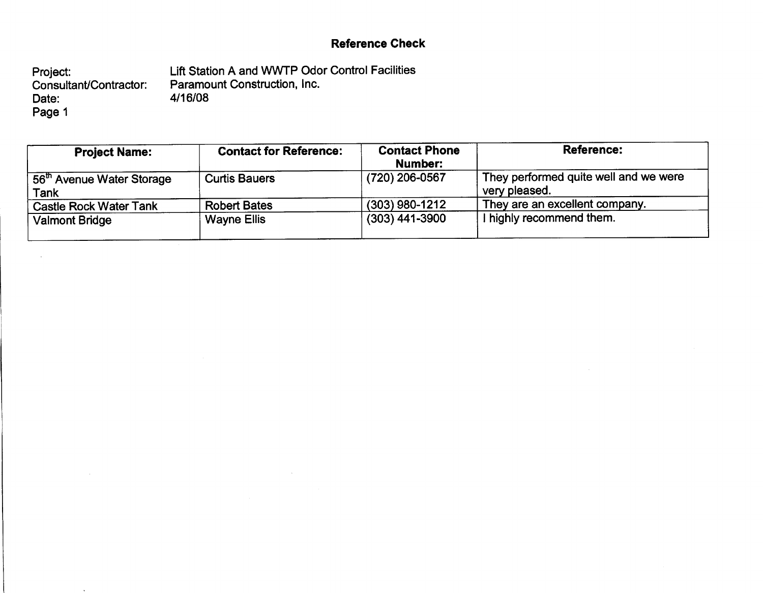# **Reference Check**

Lift Station A and WWTP Odor Control Facilities Project: Paramount Construction, Inc.<br>4/16/08 Consultant/Contractor: Date: Page 1

 $\alpha$ 

 $\bar{\phantom{a}}$ 

| <b>Project Name:</b>                          | <b>Contact for Reference:</b> | <b>Contact Phone</b><br>Number: | <b>Reference:</b>                                      |
|-----------------------------------------------|-------------------------------|---------------------------------|--------------------------------------------------------|
| 56 <sup>th</sup> Avenue Water Storage<br>Tank | <b>Curtis Bauers</b>          | (720) 206-0567                  | They performed quite well and we were<br>very pleased. |
| <b>Castle Rock Water Tank</b>                 | <b>Robert Bates</b>           | $(303)$ 980-1212                | They are an excellent company.                         |
| <b>Valmont Bridge</b>                         | <b>Wayne Ellis</b>            | $(303)$ 441-3900                | highly recommend them.                                 |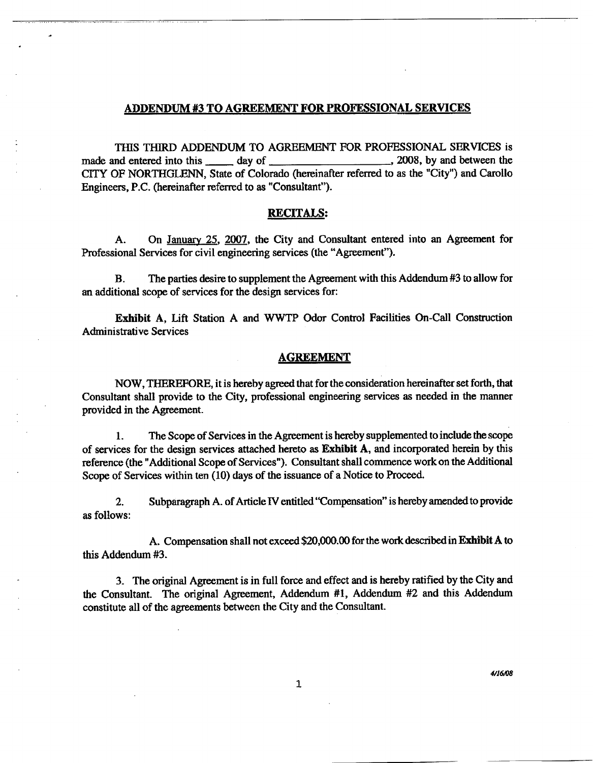#### ADDENDUM #3 TO AGREEMENT FOR PROFESSIONAL SERVICES

THIS THIRD ADDENDUM TO AGREEMENT FOR PROFESSIONAL SERVICES is \_, 2008, by and between the made and entered into this \_\_\_\_\_\_\_ day of \_\_\_\_\_\_\_ CITY OF NORTHGLENN, State of Colorado (hereinafter referred to as the "City") and Carollo Engineers, P.C. (hereinafter referred to as "Consultant").

#### **RECITALS:**

On January 25, 2007, the City and Consultant entered into an Agreement for А. Professional Services for civil engineering services (the "Agreement").

The parties desire to supplement the Agreement with this Addendum #3 to allow for В. an additional scope of services for the design services for:

Exhibit A, Lift Station A and WWTP Odor Control Facilities On-Call Construction **Administrative Services** 

#### **AGREEMENT**

NOW, THEREFORE, it is hereby agreed that for the consideration hereinafter set forth, that Consultant shall provide to the City, professional engineering services as needed in the manner provided in the Agreement.

The Scope of Services in the Agreement is hereby supplemented to include the scope 1. of services for the design services attached hereto as Exhibit A, and incorporated herein by this reference (the "Additional Scope of Services"). Consultant shall commence work on the Additional Scope of Services within ten (10) days of the issuance of a Notice to Proceed.

 $2<sub>1</sub>$ Subparagraph A. of Article IV entitled "Compensation" is hereby amended to provide as follows:

A. Compensation shall not exceed \$20,000.00 for the work described in Exhibit A to this Addendum #3.

3. The original Agreement is in full force and effect and is hereby ratified by the City and the Consultant. The original Agreement, Addendum #1, Addendum #2 and this Addendum constitute all of the agreements between the City and the Consultant.

 $\mathbf{1}$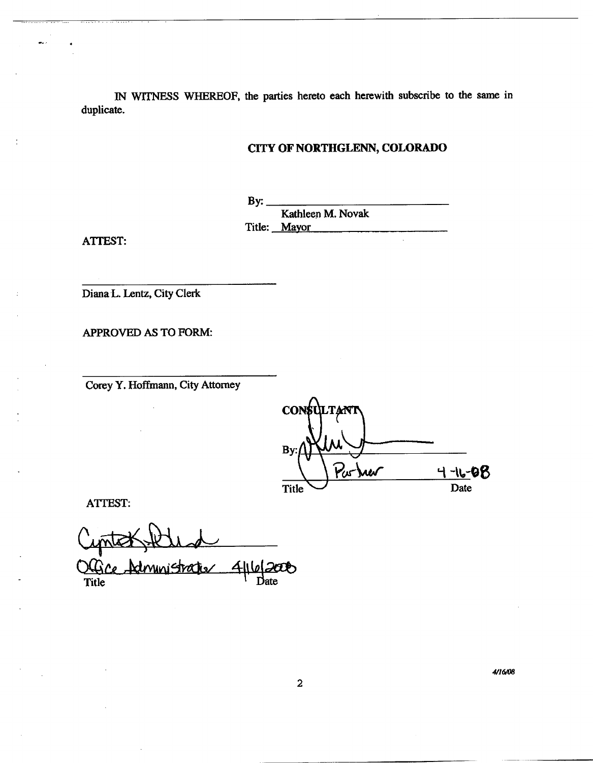IN WITNESS WHEREOF, the parties hereto each herewith subscribe to the same in duplicate.

# CITY OF NORTHGLENN, COLORADO

By: Kathleen M. Novak Title: Mayor

**ATTEST:** 

Diana L. Lentz, City Clerk

APPROVED AS TO FORM:

Corey Y. Hoffmann, City Attorney

**CON** By Purjuer 98 **Title** Date

**ATTEST:** 

ce Administratier  $200$  $4$  $|1\rangle$ Title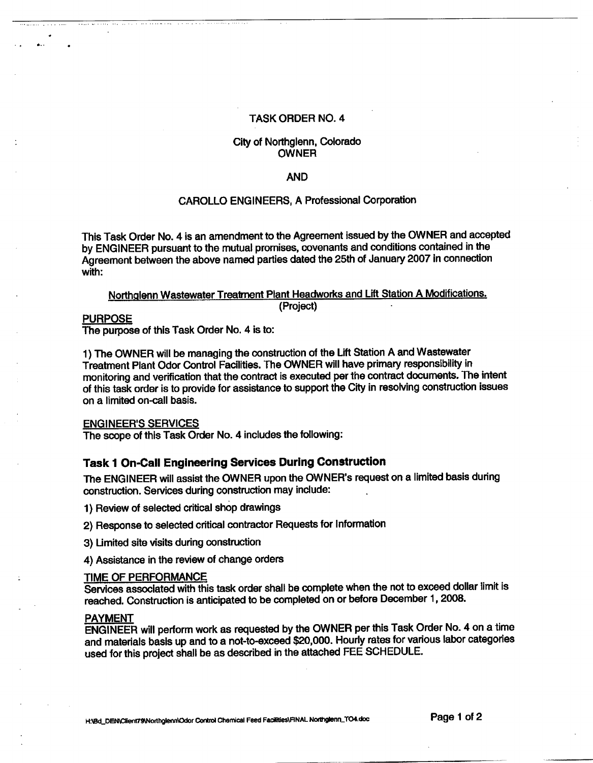#### **TASK ORDER NO. 4**

#### City of Northglenn, Colorado **OWNER**

#### **AND**

#### **CAROLLO ENGINEERS, A Professional Corporation**

This Task Order No. 4 is an amendment to the Agreement issued by the OWNER and accepted by ENGINEER pursuant to the mutual promises, covenants and conditions contained in the Agreement between the above named parties dated the 25th of January 2007 in connection with:

#### Northglenn Wastewater Treatment Plant Headworks and Lift Station A Modifications. (Project)

## **PURPOSE**

The purpose of this Task Order No. 4 is to:

1) The OWNER will be managing the construction of the Lift Station A and Wastewater Treatment Plant Odor Control Facilities. The OWNER will have primary responsibility in monitoring and verification that the contract is executed per the contract documents. The intent of this task order is to provide for assistance to support the City in resolving construction issues on a limited on-call basis.

#### **ENGINEER'S SERVICES**

The scope of this Task Order No. 4 includes the following:

# **Task 1 On-Call Engineering Services During Construction**

The ENGINEER will assist the OWNER upon the OWNER's request on a limited basis during construction. Services during construction may include:

1) Review of selected critical shop drawings

2) Response to selected critical contractor Requests for Information

3) Limited site visits during construction

4) Assistance in the review of change orders

#### TIME OF PERFORMANCE

Services associated with this task order shall be complete when the not to exceed dollar limit is reached. Construction is anticipated to be completed on or before December 1, 2008.

#### **PAYMENT**

ENGINEER will perform work as requested by the OWNER per this Task Order No. 4 on a time and materials basis up and to a not-to-exceed \$20,000. Hourly rates for various labor categories used for this project shall be as described in the attached FEE SCHEDULE.